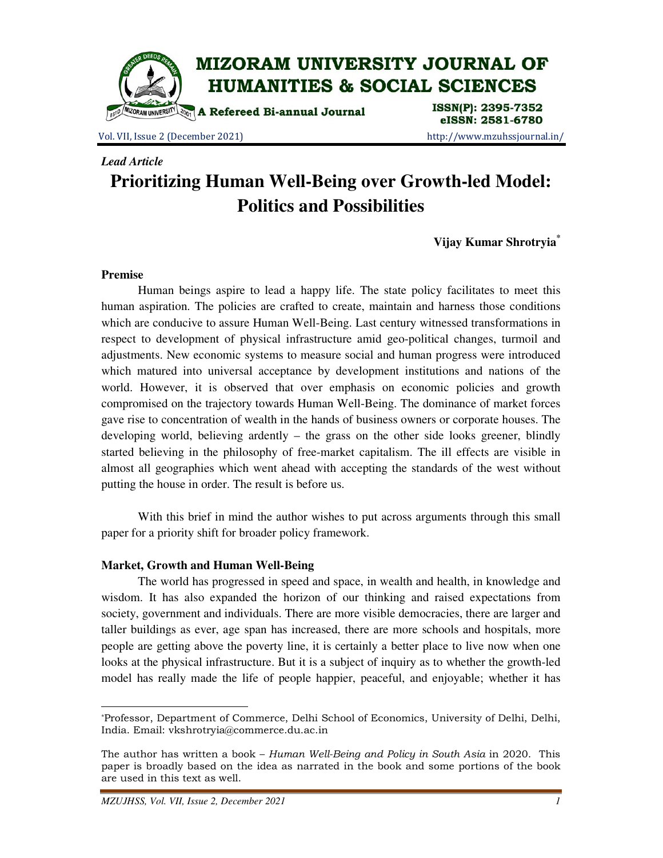

Vol. VII, Issue 2 (December 2021) http://www.mzuhssjournal.in/

eISSN: 2581-6780

## *Lead Article*

# **Prioritizing Human Well-Being over Growth-led Model: Politics and Possibilities**

**Vijay Kumar Shrotryia\***

#### **Premise**

 $\overline{a}$ 

 Human beings aspire to lead a happy life. The state policy facilitates to meet this human aspiration. The policies are crafted to create, maintain and harness those conditions which are conducive to assure Human Well-Being. Last century witnessed transformations in respect to development of physical infrastructure amid geo-political changes, turmoil and adjustments. New economic systems to measure social and human progress were introduced which matured into universal acceptance by development institutions and nations of the world. However, it is observed that over emphasis on economic policies and growth compromised on the trajectory towards Human Well-Being. The dominance of market forces gave rise to concentration of wealth in the hands of business owners or corporate houses. The developing world, believing ardently – the grass on the other side looks greener, blindly started believing in the philosophy of free-market capitalism. The ill effects are visible in almost all geographies which went ahead with accepting the standards of the west without putting the house in order. The result is before us.

 With this brief in mind the author wishes to put across arguments through this small paper for a priority shift for broader policy framework.

## **Market, Growth and Human Well-Being**

 The world has progressed in speed and space, in wealth and health, in knowledge and wisdom. It has also expanded the horizon of our thinking and raised expectations from society, government and individuals. There are more visible democracies, there are larger and taller buildings as ever, age span has increased, there are more schools and hospitals, more people are getting above the poverty line, it is certainly a better place to live now when one looks at the physical infrastructure. But it is a subject of inquiry as to whether the growth-led model has really made the life of people happier, peaceful, and enjoyable; whether it has

<sup>\*</sup>Professor, Department of Commerce, Delhi School of Economics, University of Delhi, Delhi, India. Email: vkshrotryia@commerce.du.ac.in

The author has written a book - Human Well-Being and Policy in South Asia in 2020. This paper is broadly based on the idea as narrated in the book and some portions of the book are used in this text as well.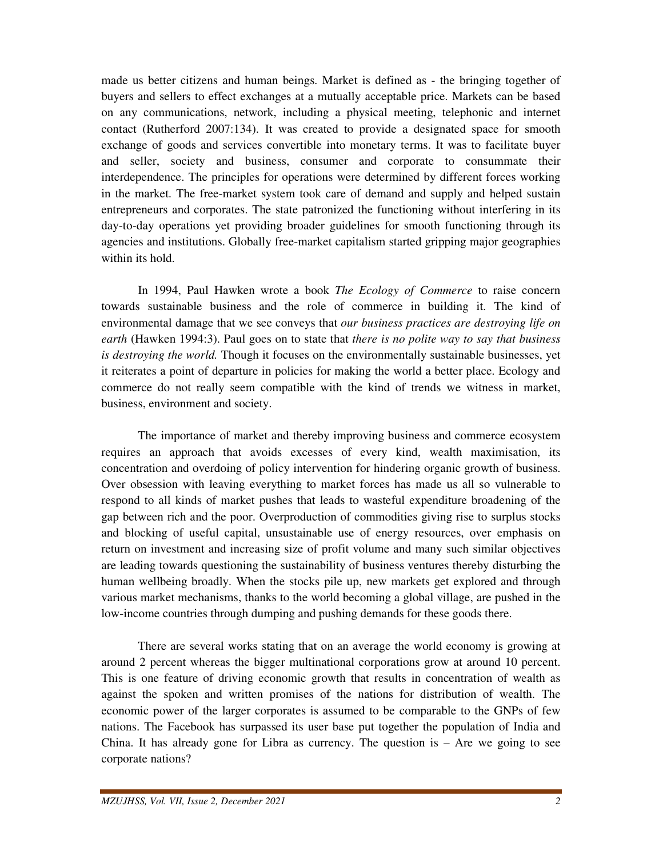made us better citizens and human beings. Market is defined as - the bringing together of buyers and sellers to effect exchanges at a mutually acceptable price. Markets can be based on any communications, network, including a physical meeting, telephonic and internet contact (Rutherford 2007:134). It was created to provide a designated space for smooth exchange of goods and services convertible into monetary terms. It was to facilitate buyer and seller, society and business, consumer and corporate to consummate their interdependence. The principles for operations were determined by different forces working in the market. The free-market system took care of demand and supply and helped sustain entrepreneurs and corporates. The state patronized the functioning without interfering in its day-to-day operations yet providing broader guidelines for smooth functioning through its agencies and institutions. Globally free-market capitalism started gripping major geographies within its hold.

 In 1994, Paul Hawken wrote a book *The Ecology of Commerce* to raise concern towards sustainable business and the role of commerce in building it. The kind of environmental damage that we see conveys that *our business practices are destroying life on earth* (Hawken 1994:3). Paul goes on to state that *there is no polite way to say that business is destroying the world.* Though it focuses on the environmentally sustainable businesses, yet it reiterates a point of departure in policies for making the world a better place. Ecology and commerce do not really seem compatible with the kind of trends we witness in market, business, environment and society.

 The importance of market and thereby improving business and commerce ecosystem requires an approach that avoids excesses of every kind, wealth maximisation, its concentration and overdoing of policy intervention for hindering organic growth of business. Over obsession with leaving everything to market forces has made us all so vulnerable to respond to all kinds of market pushes that leads to wasteful expenditure broadening of the gap between rich and the poor. Overproduction of commodities giving rise to surplus stocks and blocking of useful capital, unsustainable use of energy resources, over emphasis on return on investment and increasing size of profit volume and many such similar objectives are leading towards questioning the sustainability of business ventures thereby disturbing the human wellbeing broadly. When the stocks pile up, new markets get explored and through various market mechanisms, thanks to the world becoming a global village, are pushed in the low-income countries through dumping and pushing demands for these goods there.

 There are several works stating that on an average the world economy is growing at around 2 percent whereas the bigger multinational corporations grow at around 10 percent. This is one feature of driving economic growth that results in concentration of wealth as against the spoken and written promises of the nations for distribution of wealth. The economic power of the larger corporates is assumed to be comparable to the GNPs of few nations. The Facebook has surpassed its user base put together the population of India and China. It has already gone for Libra as currency. The question is  $-$  Are we going to see corporate nations?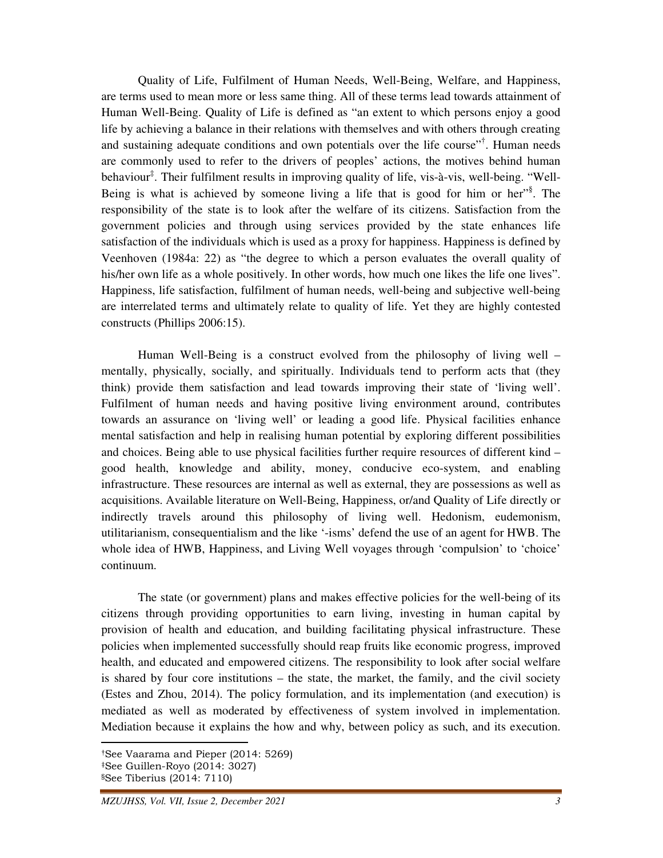Quality of Life, Fulfilment of Human Needs, Well-Being, Welfare, and Happiness, are terms used to mean more or less same thing. All of these terms lead towards attainment of Human Well-Being. Quality of Life is defined as "an extent to which persons enjoy a good life by achieving a balance in their relations with themselves and with others through creating and sustaining adequate conditions and own potentials over the life course"<sup>†</sup>. Human needs are commonly used to refer to the drivers of peoples' actions, the motives behind human behaviour<sup>‡</sup>. Their fulfilment results in improving quality of life, vis-à-vis, well-being. "Well-Being is what is achieved by someone living a life that is good for him or her"<sup>§</sup>. The responsibility of the state is to look after the welfare of its citizens. Satisfaction from the government policies and through using services provided by the state enhances life satisfaction of the individuals which is used as a proxy for happiness. Happiness is defined by Veenhoven (1984a: 22) as "the degree to which a person evaluates the overall quality of his/her own life as a whole positively. In other words, how much one likes the life one lives". Happiness, life satisfaction, fulfilment of human needs, well-being and subjective well-being are interrelated terms and ultimately relate to quality of life. Yet they are highly contested constructs (Phillips 2006:15).

 Human Well-Being is a construct evolved from the philosophy of living well – mentally, physically, socially, and spiritually. Individuals tend to perform acts that (they think) provide them satisfaction and lead towards improving their state of 'living well'. Fulfilment of human needs and having positive living environment around, contributes towards an assurance on 'living well' or leading a good life. Physical facilities enhance mental satisfaction and help in realising human potential by exploring different possibilities and choices. Being able to use physical facilities further require resources of different kind – good health, knowledge and ability, money, conducive eco-system, and enabling infrastructure. These resources are internal as well as external, they are possessions as well as acquisitions. Available literature on Well-Being, Happiness, or/and Quality of Life directly or indirectly travels around this philosophy of living well. Hedonism, eudemonism, utilitarianism, consequentialism and the like '-isms' defend the use of an agent for HWB. The whole idea of HWB, Happiness, and Living Well voyages through 'compulsion' to 'choice' continuum.

 The state (or government) plans and makes effective policies for the well-being of its citizens through providing opportunities to earn living, investing in human capital by provision of health and education, and building facilitating physical infrastructure. These policies when implemented successfully should reap fruits like economic progress, improved health, and educated and empowered citizens. The responsibility to look after social welfare is shared by four core institutions – the state, the market, the family, and the civil society (Estes and Zhou, 2014). The policy formulation, and its implementation (and execution) is mediated as well as moderated by effectiveness of system involved in implementation. Mediation because it explains the how and why, between policy as such, and its execution.

<sup>†</sup>See Vaarama and Pieper (2014: 5269) ‡See Guillen-Royo (2014: 3027) §See Tiberius (2014: 7110)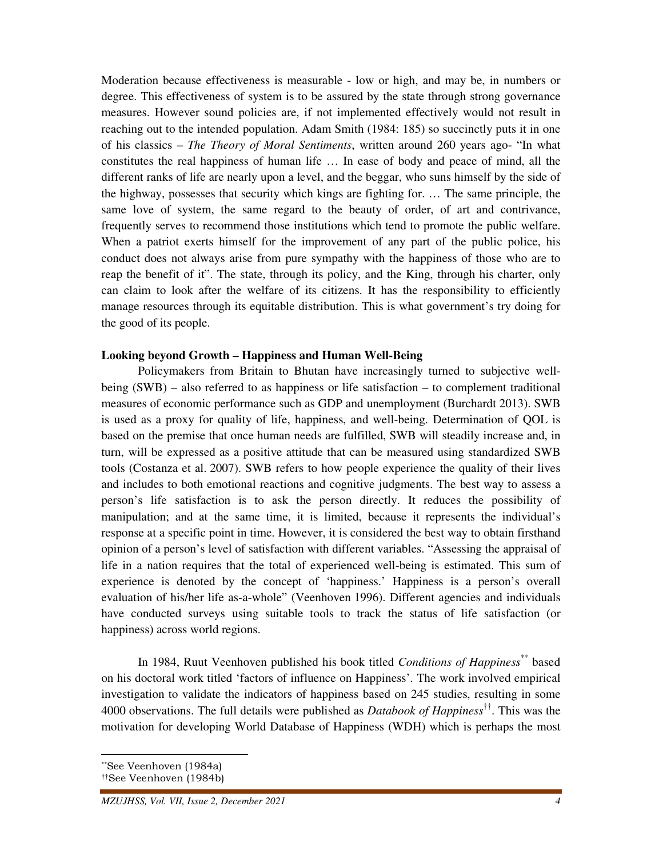Moderation because effectiveness is measurable - low or high, and may be, in numbers or degree. This effectiveness of system is to be assured by the state through strong governance measures. However sound policies are, if not implemented effectively would not result in reaching out to the intended population. Adam Smith (1984: 185) so succinctly puts it in one of his classics – *The Theory of Moral Sentiments*, written around 260 years ago- "In what constitutes the real happiness of human life … In ease of body and peace of mind, all the different ranks of life are nearly upon a level, and the beggar, who suns himself by the side of the highway, possesses that security which kings are fighting for. … The same principle, the same love of system, the same regard to the beauty of order, of art and contrivance, frequently serves to recommend those institutions which tend to promote the public welfare. When a patriot exerts himself for the improvement of any part of the public police, his conduct does not always arise from pure sympathy with the happiness of those who are to reap the benefit of it". The state, through its policy, and the King, through his charter, only can claim to look after the welfare of its citizens. It has the responsibility to efficiently manage resources through its equitable distribution. This is what government's try doing for the good of its people.

#### **Looking beyond Growth – Happiness and Human Well-Being**

 Policymakers from Britain to Bhutan have increasingly turned to subjective wellbeing (SWB) – also referred to as happiness or life satisfaction – to complement traditional measures of economic performance such as GDP and unemployment (Burchardt 2013). SWB is used as a proxy for quality of life, happiness, and well-being. Determination of QOL is based on the premise that once human needs are fulfilled, SWB will steadily increase and, in turn, will be expressed as a positive attitude that can be measured using standardized SWB tools (Costanza et al. 2007). SWB refers to how people experience the quality of their lives and includes to both emotional reactions and cognitive judgments. The best way to assess a person's life satisfaction is to ask the person directly. It reduces the possibility of manipulation; and at the same time, it is limited, because it represents the individual's response at a specific point in time. However, it is considered the best way to obtain firsthand opinion of a person's level of satisfaction with different variables. "Assessing the appraisal of life in a nation requires that the total of experienced well-being is estimated. This sum of experience is denoted by the concept of 'happiness.' Happiness is a person's overall evaluation of his/her life as-a-whole" (Veenhoven 1996). Different agencies and individuals have conducted surveys using suitable tools to track the status of life satisfaction (or happiness) across world regions.

 In 1984, Ruut Veenhoven published his book titled *Conditions of Happiness*\*\* based on his doctoral work titled 'factors of influence on Happiness'. The work involved empirical investigation to validate the indicators of happiness based on 245 studies, resulting in some 4000 observations. The full details were published as *Databook of Happiness*††. This was the motivation for developing World Database of Happiness (WDH) which is perhaps the most

<sup>\*\*</sup>See Veenhoven (1984a)

<sup>††</sup>See Veenhoven (1984b)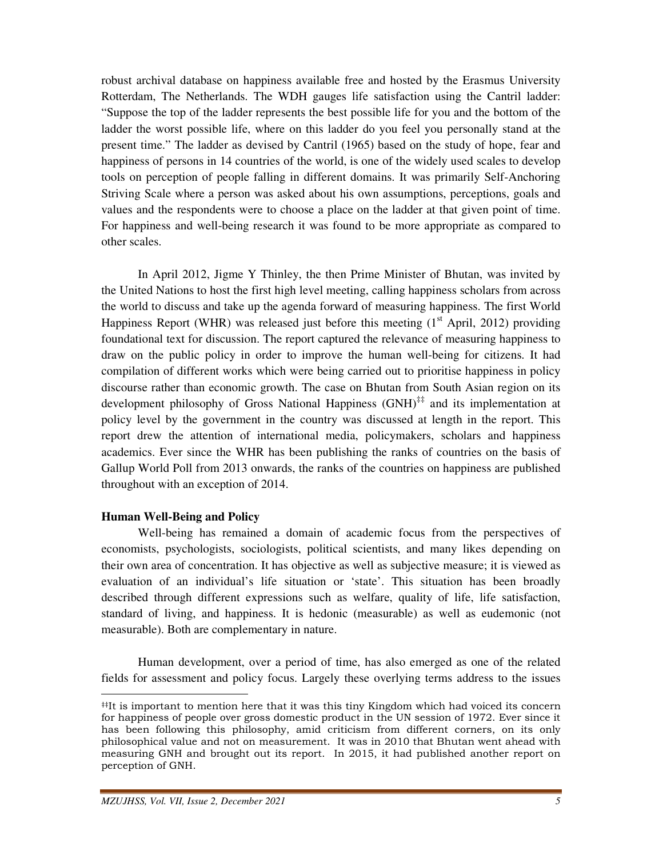robust archival database on happiness available free and hosted by the Erasmus University Rotterdam, The Netherlands. The WDH gauges life satisfaction using the Cantril ladder: "Suppose the top of the ladder represents the best possible life for you and the bottom of the ladder the worst possible life, where on this ladder do you feel you personally stand at the present time." The ladder as devised by Cantril (1965) based on the study of hope, fear and happiness of persons in 14 countries of the world, is one of the widely used scales to develop tools on perception of people falling in different domains. It was primarily Self-Anchoring Striving Scale where a person was asked about his own assumptions, perceptions, goals and values and the respondents were to choose a place on the ladder at that given point of time. For happiness and well-being research it was found to be more appropriate as compared to other scales.

 In April 2012, Jigme Y Thinley, the then Prime Minister of Bhutan, was invited by the United Nations to host the first high level meeting, calling happiness scholars from across the world to discuss and take up the agenda forward of measuring happiness. The first World Happiness Report (WHR) was released just before this meeting  $(1<sup>st</sup>$  April, 2012) providing foundational text for discussion. The report captured the relevance of measuring happiness to draw on the public policy in order to improve the human well-being for citizens. It had compilation of different works which were being carried out to prioritise happiness in policy discourse rather than economic growth. The case on Bhutan from South Asian region on its development philosophy of Gross National Happiness (GNH)<sup>‡‡</sup> and its implementation at policy level by the government in the country was discussed at length in the report. This report drew the attention of international media, policymakers, scholars and happiness academics. Ever since the WHR has been publishing the ranks of countries on the basis of Gallup World Poll from 2013 onwards, the ranks of the countries on happiness are published throughout with an exception of 2014.

## **Human Well-Being and Policy**

<u>.</u>

 Well-being has remained a domain of academic focus from the perspectives of economists, psychologists, sociologists, political scientists, and many likes depending on their own area of concentration. It has objective as well as subjective measure; it is viewed as evaluation of an individual's life situation or 'state'. This situation has been broadly described through different expressions such as welfare, quality of life, life satisfaction, standard of living, and happiness. It is hedonic (measurable) as well as eudemonic (not measurable). Both are complementary in nature.

 Human development, over a period of time, has also emerged as one of the related fields for assessment and policy focus. Largely these overlying terms address to the issues

<sup>‡‡</sup>It is important to mention here that it was this tiny Kingdom which had voiced its concern for happiness of people over gross domestic product in the UN session of 1972. Ever since it has been following this philosophy, amid criticism from different corners, on its only philosophical value and not on measurement. It was in 2010 that Bhutan went ahead with measuring GNH and brought out its report. In 2015, it had published another report on perception of GNH.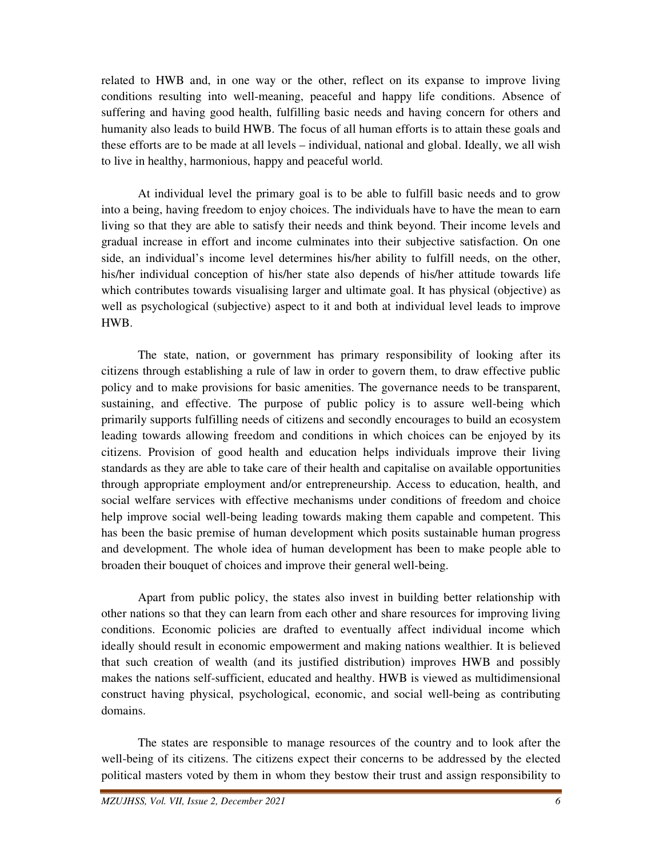related to HWB and, in one way or the other, reflect on its expanse to improve living conditions resulting into well-meaning, peaceful and happy life conditions. Absence of suffering and having good health, fulfilling basic needs and having concern for others and humanity also leads to build HWB. The focus of all human efforts is to attain these goals and these efforts are to be made at all levels – individual, national and global. Ideally, we all wish to live in healthy, harmonious, happy and peaceful world.

 At individual level the primary goal is to be able to fulfill basic needs and to grow into a being, having freedom to enjoy choices. The individuals have to have the mean to earn living so that they are able to satisfy their needs and think beyond. Their income levels and gradual increase in effort and income culminates into their subjective satisfaction. On one side, an individual's income level determines his/her ability to fulfill needs, on the other, his/her individual conception of his/her state also depends of his/her attitude towards life which contributes towards visualising larger and ultimate goal. It has physical (objective) as well as psychological (subjective) aspect to it and both at individual level leads to improve HWB.

 The state, nation, or government has primary responsibility of looking after its citizens through establishing a rule of law in order to govern them, to draw effective public policy and to make provisions for basic amenities. The governance needs to be transparent, sustaining, and effective. The purpose of public policy is to assure well-being which primarily supports fulfilling needs of citizens and secondly encourages to build an ecosystem leading towards allowing freedom and conditions in which choices can be enjoyed by its citizens. Provision of good health and education helps individuals improve their living standards as they are able to take care of their health and capitalise on available opportunities through appropriate employment and/or entrepreneurship. Access to education, health, and social welfare services with effective mechanisms under conditions of freedom and choice help improve social well-being leading towards making them capable and competent. This has been the basic premise of human development which posits sustainable human progress and development. The whole idea of human development has been to make people able to broaden their bouquet of choices and improve their general well-being.

 Apart from public policy, the states also invest in building better relationship with other nations so that they can learn from each other and share resources for improving living conditions. Economic policies are drafted to eventually affect individual income which ideally should result in economic empowerment and making nations wealthier. It is believed that such creation of wealth (and its justified distribution) improves HWB and possibly makes the nations self-sufficient, educated and healthy. HWB is viewed as multidimensional construct having physical, psychological, economic, and social well-being as contributing domains.

 The states are responsible to manage resources of the country and to look after the well-being of its citizens. The citizens expect their concerns to be addressed by the elected political masters voted by them in whom they bestow their trust and assign responsibility to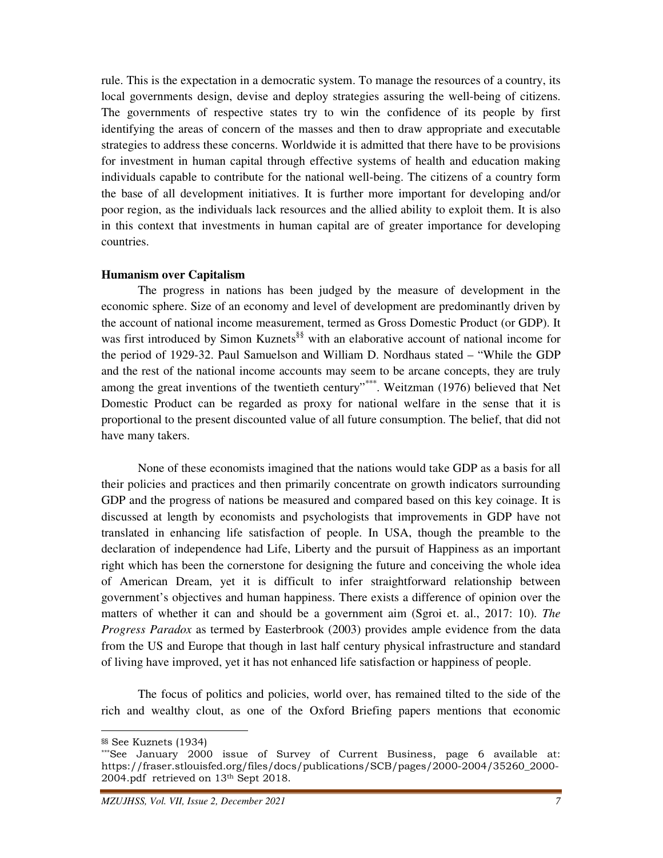rule. This is the expectation in a democratic system. To manage the resources of a country, its local governments design, devise and deploy strategies assuring the well-being of citizens. The governments of respective states try to win the confidence of its people by first identifying the areas of concern of the masses and then to draw appropriate and executable strategies to address these concerns. Worldwide it is admitted that there have to be provisions for investment in human capital through effective systems of health and education making individuals capable to contribute for the national well-being. The citizens of a country form the base of all development initiatives. It is further more important for developing and/or poor region, as the individuals lack resources and the allied ability to exploit them. It is also in this context that investments in human capital are of greater importance for developing countries.

#### **Humanism over Capitalism**

 The progress in nations has been judged by the measure of development in the economic sphere. Size of an economy and level of development are predominantly driven by the account of national income measurement, termed as Gross Domestic Product (or GDP). It was first introduced by Simon Kuznets<sup>§§</sup> with an elaborative account of national income for the period of 1929-32. Paul Samuelson and William D. Nordhaus stated – "While the GDP and the rest of the national income accounts may seem to be arcane concepts, they are truly among the great inventions of the twentieth century"\*\*\*. Weitzman (1976) believed that Net Domestic Product can be regarded as proxy for national welfare in the sense that it is proportional to the present discounted value of all future consumption. The belief, that did not have many takers.

 None of these economists imagined that the nations would take GDP as a basis for all their policies and practices and then primarily concentrate on growth indicators surrounding GDP and the progress of nations be measured and compared based on this key coinage. It is discussed at length by economists and psychologists that improvements in GDP have not translated in enhancing life satisfaction of people. In USA, though the preamble to the declaration of independence had Life, Liberty and the pursuit of Happiness as an important right which has been the cornerstone for designing the future and conceiving the whole idea of American Dream, yet it is difficult to infer straightforward relationship between government's objectives and human happiness. There exists a difference of opinion over the matters of whether it can and should be a government aim (Sgroi et. al., 2017: 10). *The Progress Paradox* as termed by Easterbrook (2003) provides ample evidence from the data from the US and Europe that though in last half century physical infrastructure and standard of living have improved, yet it has not enhanced life satisfaction or happiness of people.

 The focus of politics and policies, world over, has remained tilted to the side of the rich and wealthy clout, as one of the Oxford Briefing papers mentions that economic

<sup>§§</sup> See Kuznets (1934)

<sup>\*\*\*</sup>See January 2000 issue of Survey of Current Business, page 6 available at: https://fraser.stlouisfed.org/files/docs/publications/SCB/pages/2000-2004/35260\_2000- 2004.pdf retrieved on 13th Sept 2018.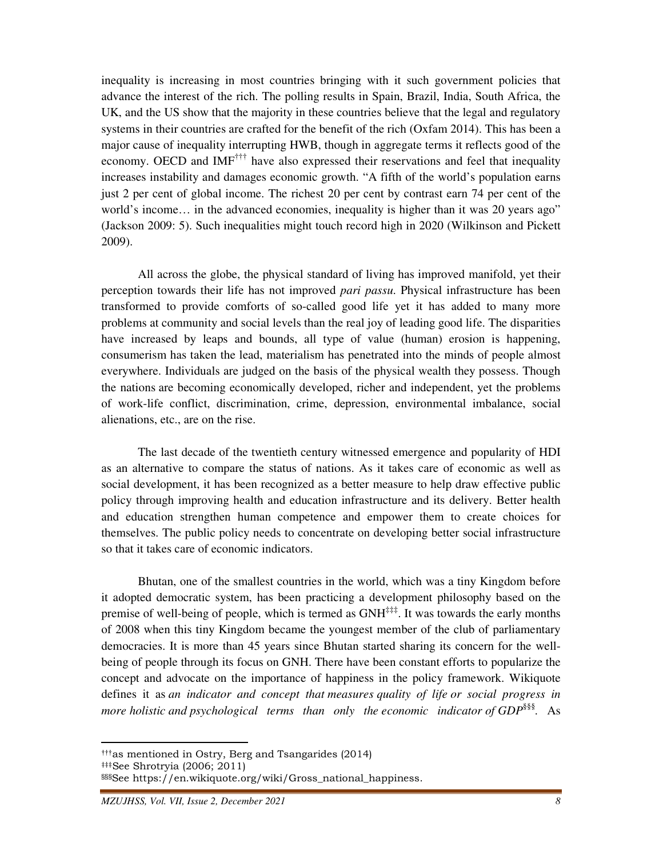inequality is increasing in most countries bringing with it such government policies that advance the interest of the rich. The polling results in Spain, Brazil, India, South Africa, the UK, and the US show that the majority in these countries believe that the legal and regulatory systems in their countries are crafted for the benefit of the rich (Oxfam 2014). This has been a major cause of inequality interrupting HWB, though in aggregate terms it reflects good of the economy. OECD and IMF<sup>†††</sup> have also expressed their reservations and feel that inequality increases instability and damages economic growth. "A fifth of the world's population earns just 2 per cent of global income. The richest 20 per cent by contrast earn 74 per cent of the world's income… in the advanced economies, inequality is higher than it was 20 years ago" (Jackson 2009: 5). Such inequalities might touch record high in 2020 (Wilkinson and Pickett 2009).

 All across the globe, the physical standard of living has improved manifold, yet their perception towards their life has not improved *pari passu*. Physical infrastructure has been transformed to provide comforts of so-called good life yet it has added to many more problems at community and social levels than the real joy of leading good life. The disparities have increased by leaps and bounds, all type of value (human) erosion is happening, consumerism has taken the lead, materialism has penetrated into the minds of people almost everywhere. Individuals are judged on the basis of the physical wealth they possess. Though the nations are becoming economically developed, richer and independent, yet the problems of work-life conflict, discrimination, crime, depression, environmental imbalance, social alienations, etc., are on the rise.

 The last decade of the twentieth century witnessed emergence and popularity of HDI as an alternative to compare the status of nations. As it takes care of economic as well as social development, it has been recognized as a better measure to help draw effective public policy through improving health and education infrastructure and its delivery. Better health and education strengthen human competence and empower them to create choices for themselves. The public policy needs to concentrate on developing better social infrastructure so that it takes care of economic indicators.

 Bhutan, one of the smallest countries in the world, which was a tiny Kingdom before it adopted democratic system, has been practicing a development philosophy based on the premise of well-being of people, which is termed as GNH<sup>‡‡‡</sup>. It was towards the early months of 2008 when this tiny Kingdom became the youngest member of the club of parliamentary democracies. It is more than 45 years since Bhutan started sharing its concern for the wellbeing of people through its focus on GNH. There have been constant efforts to popularize the concept and advocate on the importance of happiness in the policy framework. Wikiquote defines it as *an indicator and concept that measures quality of life or social progress in more holistic and psychological terms than only the economic indicator of GDP*§§§ *.* As

<sup>†††</sup>as mentioned in Ostry, Berg and Tsangarides (2014)

<sup>‡‡‡</sup>See Shrotryia (2006; 2011)

<sup>§§§</sup>See https://en.wikiquote.org/wiki/Gross\_national\_happiness.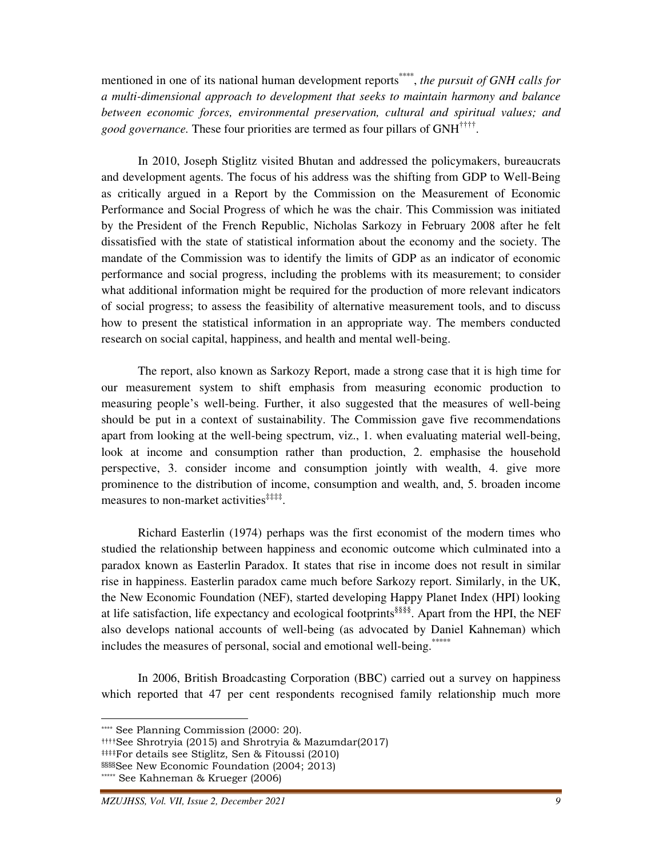mentioned in one of its national human development reports<sup>\*\*\*\*</sup>, *the pursuit of GNH calls for a multi-dimensional approach to development that seeks to maintain harmony and balance between economic forces, environmental preservation, cultural and spiritual values; and good governance.* These four priorities are termed as four pillars of GNH†††† .

 In 2010, Joseph Stiglitz visited Bhutan and addressed the policymakers, bureaucrats and development agents. The focus of his address was the shifting from GDP to Well-Being as critically argued in a Report by the Commission on the Measurement of Economic Performance and Social Progress of which he was the chair. This Commission was initiated by the President of the French Republic, Nicholas Sarkozy in February 2008 after he felt dissatisfied with the state of statistical information about the economy and the society. The mandate of the Commission was to identify the limits of GDP as an indicator of economic performance and social progress, including the problems with its measurement; to consider what additional information might be required for the production of more relevant indicators of social progress; to assess the feasibility of alternative measurement tools, and to discuss how to present the statistical information in an appropriate way. The members conducted research on social capital, happiness, and health and mental well-being.

 The report, also known as Sarkozy Report, made a strong case that it is high time for our measurement system to shift emphasis from measuring economic production to measuring people's well-being. Further, it also suggested that the measures of well-being should be put in a context of sustainability. The Commission gave five recommendations apart from looking at the well-being spectrum, viz., 1. when evaluating material well-being, look at income and consumption rather than production, 2. emphasise the household perspective, 3. consider income and consumption jointly with wealth, 4. give more prominence to the distribution of income, consumption and wealth, and, 5. broaden income measures to non-market activities<sup>####</sup>.

 Richard Easterlin (1974) perhaps was the first economist of the modern times who studied the relationship between happiness and economic outcome which culminated into a paradox known as Easterlin Paradox. It states that rise in income does not result in similar rise in happiness. Easterlin paradox came much before Sarkozy report. Similarly, in the UK, the New Economic Foundation (NEF), started developing Happy Planet Index (HPI) looking at life satisfaction, life expectancy and ecological footprints§§§§. Apart from the HPI, the NEF also develops national accounts of well-being (as advocated by Daniel Kahneman) which includes the measures of personal, social and emotional well-being.\*\*\*\*\*\*

 In 2006, British Broadcasting Corporation (BBC) carried out a survey on happiness which reported that 47 per cent respondents recognised family relationship much more

††††See Shrotryia (2015) and Shrotryia & Mazumdar(2017)

<sup>\*\*\*\*</sup> See Planning Commission (2000: 20).

<sup>‡‡‡‡</sup>For details see Stiglitz, Sen & Fitoussi (2010)

<sup>§§§§</sup>See New Economic Foundation (2004; 2013)

<sup>\*\*\*\*\*</sup> See Kahneman & Krueger (2006)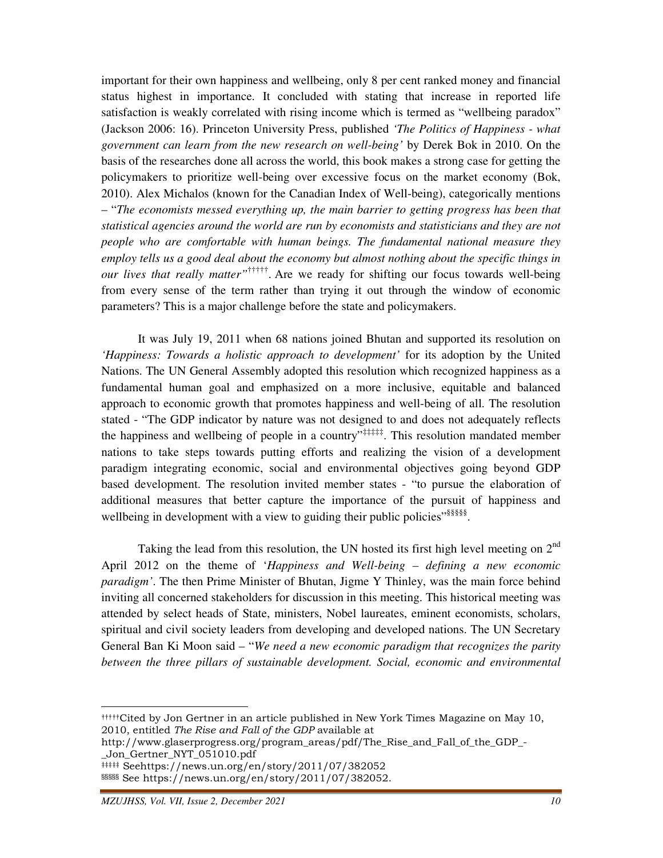important for their own happiness and wellbeing, only 8 per cent ranked money and financial status highest in importance. It concluded with stating that increase in reported life satisfaction is weakly correlated with rising income which is termed as "wellbeing paradox" (Jackson 2006: 16). Princeton University Press, published *'The Politics of Happiness - what government can learn from the new research on well-being'* by Derek Bok in 2010. On the basis of the researches done all across the world, this book makes a strong case for getting the policymakers to prioritize well-being over excessive focus on the market economy (Bok, 2010). Alex Michalos (known for the Canadian Index of Well-being), categorically mentions – "*The economists messed everything up, the main barrier to getting progress has been that statistical agencies around the world are run by economists and statisticians and they are not people who are comfortable with human beings. The fundamental national measure they employ tells us a good deal about the economy but almost nothing about the specific things in our lives that really matter"*†††††. Are we ready for shifting our focus towards well-being from every sense of the term rather than trying it out through the window of economic parameters? This is a major challenge before the state and policymakers.

 It was July 19, 2011 when 68 nations joined Bhutan and supported its resolution on *'Happiness: Towards a holistic approach to development'* for its adoption by the United Nations. The UN General Assembly adopted this resolution which recognized happiness as a fundamental human goal and emphasized on a more inclusive, equitable and balanced approach to economic growth that promotes happiness and well-being of all. The resolution stated - "The GDP indicator by nature was not designed to and does not adequately reflects the happiness and wellbeing of people in a country<sup> $\frac{1}{2}$ </sup>. This resolution mandated member nations to take steps towards putting efforts and realizing the vision of a development paradigm integrating economic, social and environmental objectives going beyond GDP based development. The resolution invited member states - "to pursue the elaboration of additional measures that better capture the importance of the pursuit of happiness and wellbeing in development with a view to guiding their public policies"<sup>§§§§§</sup>.

Taking the lead from this resolution, the UN hosted its first high level meeting on  $2<sup>nd</sup>$ April 2012 on the theme of '*Happiness and Well-being – defining a new economic paradigm'*. The then Prime Minister of Bhutan, Jigme Y Thinley, was the main force behind inviting all concerned stakeholders for discussion in this meeting. This historical meeting was attended by select heads of State, ministers, Nobel laureates, eminent economists, scholars, spiritual and civil society leaders from developing and developed nations. The UN Secretary General Ban Ki Moon said – "*We need a new economic paradigm that recognizes the parity between the three pillars of sustainable development. Social, economic and environmental* 

<sup>†††††</sup>Cited by Jon Gertner in an article published in New York Times Magazine on May 10, 2010, entitled The Rise and Fall of the GDP available at

http://www.glaserprogress.org/program\_areas/pdf/The\_Rise\_and\_Fall\_of\_the\_GDP\_- \_Jon\_Gertner\_NYT\_051010.pdf

<sup>‡‡‡‡‡</sup> Seehttps://news.un.org/en/story/2011/07/382052

<sup>§§§§§</sup> See https://news.un.org/en/story/2011/07/382052.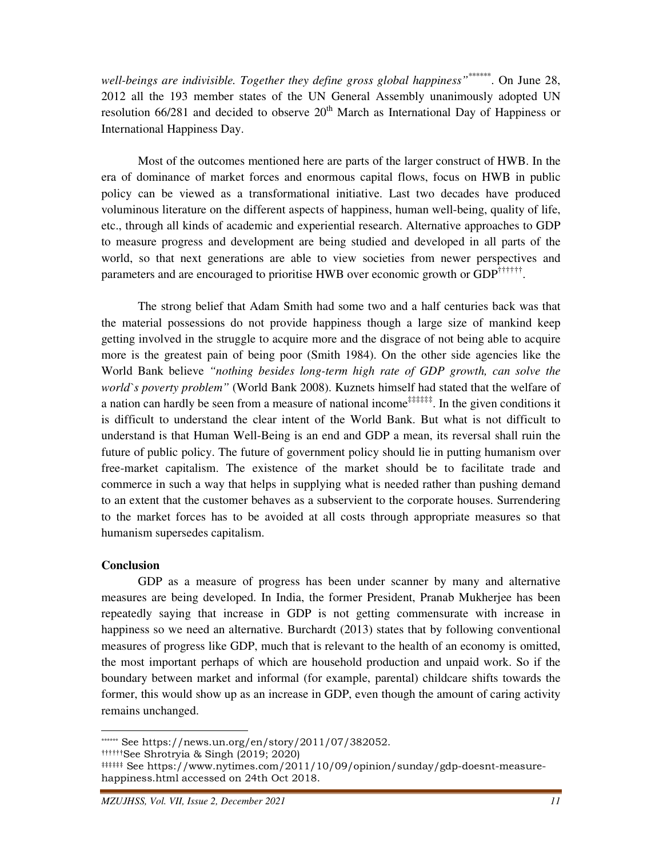well-beings are indivisible. Together they define gross global happiness<sup>"\*\*\*\*\*\*</sup>. On June 28, 2012 all the 193 member states of the UN General Assembly unanimously adopted UN resolution  $66/281$  and decided to observe  $20<sup>th</sup>$  March as International Day of Happiness or International Happiness Day.

 Most of the outcomes mentioned here are parts of the larger construct of HWB. In the era of dominance of market forces and enormous capital flows, focus on HWB in public policy can be viewed as a transformational initiative. Last two decades have produced voluminous literature on the different aspects of happiness, human well-being, quality of life, etc., through all kinds of academic and experiential research. Alternative approaches to GDP to measure progress and development are being studied and developed in all parts of the world, so that next generations are able to view societies from newer perspectives and parameters and are encouraged to prioritise HWB over economic growth or GDP<sup>††††††</sup>.

 The strong belief that Adam Smith had some two and a half centuries back was that the material possessions do not provide happiness though a large size of mankind keep getting involved in the struggle to acquire more and the disgrace of not being able to acquire more is the greatest pain of being poor (Smith 1984). On the other side agencies like the World Bank believe *"nothing besides long-term high rate of GDP growth, can solve the world`s poverty problem"* (World Bank 2008). Kuznets himself had stated that the welfare of a nation can hardly be seen from a measure of national income<sup> $\ddagger$ †</sup># $\ddagger$  $\ddagger$ . In the given conditions it is difficult to understand the clear intent of the World Bank. But what is not difficult to understand is that Human Well-Being is an end and GDP a mean, its reversal shall ruin the future of public policy. The future of government policy should lie in putting humanism over free-market capitalism. The existence of the market should be to facilitate trade and commerce in such a way that helps in supplying what is needed rather than pushing demand to an extent that the customer behaves as a subservient to the corporate houses. Surrendering to the market forces has to be avoided at all costs through appropriate measures so that humanism supersedes capitalism.

## **Conclusion**

 $\overline{a}$ 

 GDP as a measure of progress has been under scanner by many and alternative measures are being developed. In India, the former President, Pranab Mukherjee has been repeatedly saying that increase in GDP is not getting commensurate with increase in happiness so we need an alternative. Burchardt (2013) states that by following conventional measures of progress like GDP, much that is relevant to the health of an economy is omitted, the most important perhaps of which are household production and unpaid work. So if the boundary between market and informal (for example, parental) childcare shifts towards the former, this would show up as an increase in GDP, even though the amount of caring activity remains unchanged.

<sup>\*\*\*\*\*\*</sup> See https://news.un.org/en/story/2011/07/382052.

<sup>††††††</sup>See Shrotryia & Singh (2019; 2020)

<sup>‡‡‡‡‡‡</sup> See https://www.nytimes.com/2011/10/09/opinion/sunday/gdp-doesnt-measurehappiness.html accessed on 24th Oct 2018.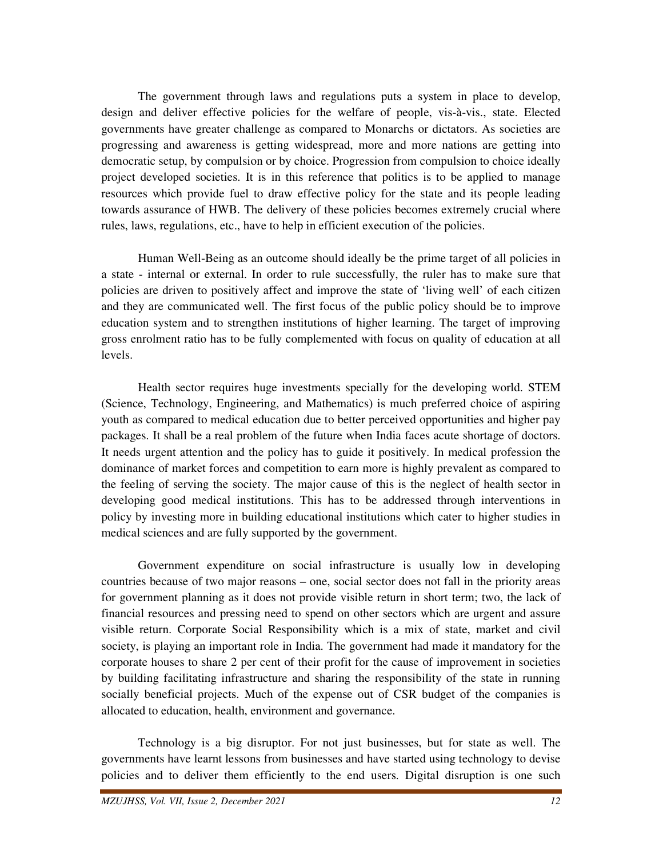The government through laws and regulations puts a system in place to develop, design and deliver effective policies for the welfare of people, vis-à-vis., state. Elected governments have greater challenge as compared to Monarchs or dictators. As societies are progressing and awareness is getting widespread, more and more nations are getting into democratic setup, by compulsion or by choice. Progression from compulsion to choice ideally project developed societies. It is in this reference that politics is to be applied to manage resources which provide fuel to draw effective policy for the state and its people leading towards assurance of HWB. The delivery of these policies becomes extremely crucial where rules, laws, regulations, etc., have to help in efficient execution of the policies.

 Human Well-Being as an outcome should ideally be the prime target of all policies in a state - internal or external. In order to rule successfully, the ruler has to make sure that policies are driven to positively affect and improve the state of 'living well' of each citizen and they are communicated well. The first focus of the public policy should be to improve education system and to strengthen institutions of higher learning. The target of improving gross enrolment ratio has to be fully complemented with focus on quality of education at all levels.

 Health sector requires huge investments specially for the developing world. STEM (Science, Technology, Engineering, and Mathematics) is much preferred choice of aspiring youth as compared to medical education due to better perceived opportunities and higher pay packages. It shall be a real problem of the future when India faces acute shortage of doctors. It needs urgent attention and the policy has to guide it positively. In medical profession the dominance of market forces and competition to earn more is highly prevalent as compared to the feeling of serving the society. The major cause of this is the neglect of health sector in developing good medical institutions. This has to be addressed through interventions in policy by investing more in building educational institutions which cater to higher studies in medical sciences and are fully supported by the government.

 Government expenditure on social infrastructure is usually low in developing countries because of two major reasons – one, social sector does not fall in the priority areas for government planning as it does not provide visible return in short term; two, the lack of financial resources and pressing need to spend on other sectors which are urgent and assure visible return. Corporate Social Responsibility which is a mix of state, market and civil society, is playing an important role in India. The government had made it mandatory for the corporate houses to share 2 per cent of their profit for the cause of improvement in societies by building facilitating infrastructure and sharing the responsibility of the state in running socially beneficial projects. Much of the expense out of CSR budget of the companies is allocated to education, health, environment and governance.

 Technology is a big disruptor. For not just businesses, but for state as well. The governments have learnt lessons from businesses and have started using technology to devise policies and to deliver them efficiently to the end users. Digital disruption is one such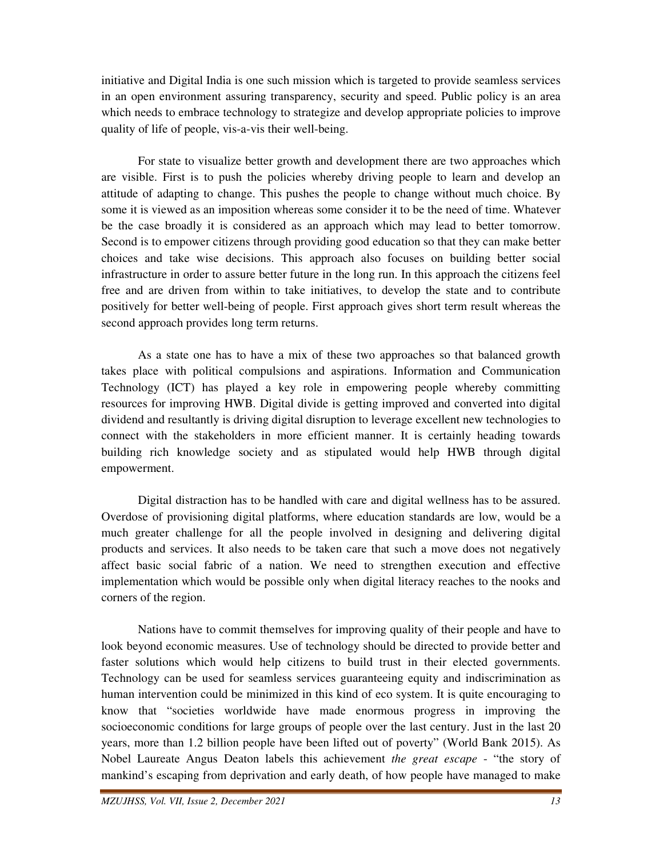initiative and Digital India is one such mission which is targeted to provide seamless services in an open environment assuring transparency, security and speed. Public policy is an area which needs to embrace technology to strategize and develop appropriate policies to improve quality of life of people, vis-a-vis their well-being.

 For state to visualize better growth and development there are two approaches which are visible. First is to push the policies whereby driving people to learn and develop an attitude of adapting to change. This pushes the people to change without much choice. By some it is viewed as an imposition whereas some consider it to be the need of time. Whatever be the case broadly it is considered as an approach which may lead to better tomorrow. Second is to empower citizens through providing good education so that they can make better choices and take wise decisions. This approach also focuses on building better social infrastructure in order to assure better future in the long run. In this approach the citizens feel free and are driven from within to take initiatives, to develop the state and to contribute positively for better well-being of people. First approach gives short term result whereas the second approach provides long term returns.

 As a state one has to have a mix of these two approaches so that balanced growth takes place with political compulsions and aspirations. Information and Communication Technology (ICT) has played a key role in empowering people whereby committing resources for improving HWB. Digital divide is getting improved and converted into digital dividend and resultantly is driving digital disruption to leverage excellent new technologies to connect with the stakeholders in more efficient manner. It is certainly heading towards building rich knowledge society and as stipulated would help HWB through digital empowerment.

 Digital distraction has to be handled with care and digital wellness has to be assured. Overdose of provisioning digital platforms, where education standards are low, would be a much greater challenge for all the people involved in designing and delivering digital products and services. It also needs to be taken care that such a move does not negatively affect basic social fabric of a nation. We need to strengthen execution and effective implementation which would be possible only when digital literacy reaches to the nooks and corners of the region.

 Nations have to commit themselves for improving quality of their people and have to look beyond economic measures. Use of technology should be directed to provide better and faster solutions which would help citizens to build trust in their elected governments. Technology can be used for seamless services guaranteeing equity and indiscrimination as human intervention could be minimized in this kind of eco system. It is quite encouraging to know that "societies worldwide have made enormous progress in improving the socioeconomic conditions for large groups of people over the last century. Just in the last 20 years, more than 1.2 billion people have been lifted out of poverty" (World Bank 2015). As Nobel Laureate Angus Deaton labels this achievement *the great escape* - "the story of mankind's escaping from deprivation and early death, of how people have managed to make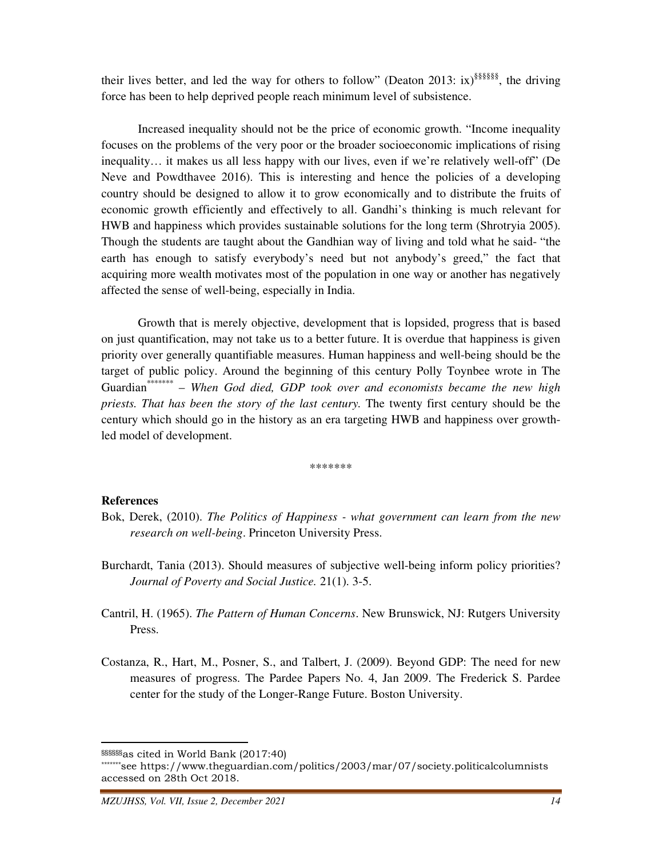their lives better, and led the way for others to follow" (Deaton 2013: ix)<sup>§§§§§§§</sup>, the driving force has been to help deprived people reach minimum level of subsistence.

 Increased inequality should not be the price of economic growth. "Income inequality focuses on the problems of the very poor or the broader socioeconomic implications of rising inequality… it makes us all less happy with our lives, even if we're relatively well-off" (De Neve and Powdthavee 2016). This is interesting and hence the policies of a developing country should be designed to allow it to grow economically and to distribute the fruits of economic growth efficiently and effectively to all. Gandhi's thinking is much relevant for HWB and happiness which provides sustainable solutions for the long term (Shrotryia 2005). Though the students are taught about the Gandhian way of living and told what he said- "the earth has enough to satisfy everybody's need but not anybody's greed," the fact that acquiring more wealth motivates most of the population in one way or another has negatively affected the sense of well-being, especially in India.

 Growth that is merely objective, development that is lopsided, progress that is based on just quantification, may not take us to a better future. It is overdue that happiness is given priority over generally quantifiable measures. Human happiness and well-being should be the target of public policy. Around the beginning of this century Polly Toynbee wrote in The Guardian\*\*\* – *When God died, GDP took over and economists became the new high priests. That has been the story of the last century.* The twenty first century should be the century which should go in the history as an era targeting HWB and happiness over growthled model of development.

\*\*\*\*\*\*\*

#### **References**

- Bok, Derek, (2010). *The Politics of Happiness what government can learn from the new research on well-being*. Princeton University Press.
- Burchardt, Tania (2013). Should measures of subjective well-being inform policy priorities? *Journal of Poverty and Social Justice.* 21(1). 3-5.
- Cantril, H. (1965). *The Pattern of Human Concerns*. New Brunswick, NJ: Rutgers University Press.
- Costanza, R., Hart, M., Posner, S., and Talbert, J. (2009). Beyond GDP: The need for new measures of progress. The Pardee Papers No. 4, Jan 2009. The Frederick S. Pardee center for the study of the Longer-Range Future. Boston University.

<sup>§§§§§§</sup>as cited in World Bank (2017:40)

<sup>\*\*\*\*\*\*\*</sup>see https://www.theguardian.com/politics/2003/mar/07/society.politicalcolumnists accessed on 28th Oct 2018.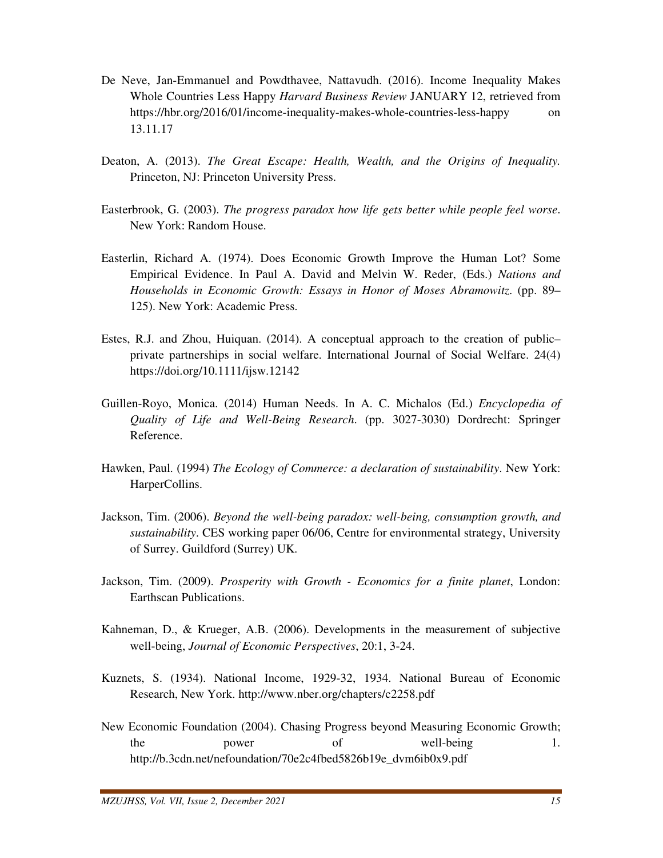- De Neve, Jan-Emmanuel and Powdthavee, Nattavudh. (2016). Income Inequality Makes Whole Countries Less Happy *Harvard Business Review* JANUARY 12, retrieved from https://hbr.org/2016/01/income-inequality-makes-whole-countries-less-happy on 13.11.17
- Deaton, A. (2013). *The Great Escape: Health, Wealth, and the Origins of Inequality.*  Princeton, NJ: Princeton University Press.
- Easterbrook, G. (2003). *The progress paradox how life gets better while people feel worse*. New York: Random House.
- Easterlin, Richard A. (1974). Does Economic Growth Improve the Human Lot? Some Empirical Evidence. In Paul A. David and Melvin W. Reder, (Eds.) *Nations and Households in Economic Growth: Essays in Honor of Moses Abramowitz*. (pp. 89– 125). New York: Academic Press.
- Estes, R.J. and Zhou, Huiquan. (2014). A conceptual approach to the creation of public– private partnerships in social welfare. International Journal of Social Welfare. 24(4) https://doi.org/10.1111/ijsw.12142
- Guillen-Royo, Monica. (2014) Human Needs. In A. C. Michalos (Ed.) *Encyclopedia of Quality of Life and Well-Being Research*. (pp. 3027-3030) Dordrecht: Springer Reference.
- Hawken, Paul. (1994) *The Ecology of Commerce: a declaration of sustainability*. New York: HarperCollins.
- Jackson, Tim. (2006). *Beyond the well-being paradox: well-being, consumption growth, and sustainability*. CES working paper 06/06, Centre for environmental strategy, University of Surrey. Guildford (Surrey) UK.
- Jackson, Tim. (2009). *Prosperity with Growth Economics for a finite planet*, London: Earthscan Publications.
- Kahneman, D., & Krueger, A.B. (2006). Developments in the measurement of subjective well-being, *Journal of Economic Perspectives*, 20:1, 3-24.
- Kuznets, S. (1934). National Income, 1929-32, 1934. National Bureau of Economic Research, New York. http://www.nber.org/chapters/c2258.pdf
- New Economic Foundation (2004). Chasing Progress beyond Measuring Economic Growth; the power of well-being 1. http://b.3cdn.net/nefoundation/70e2c4fbed5826b19e\_dvm6ib0x9.pdf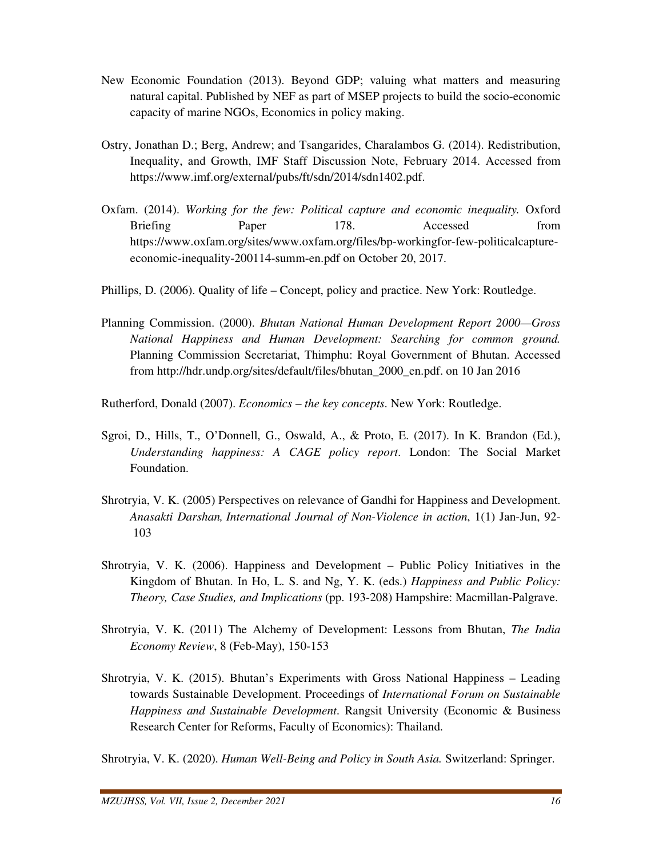- New Economic Foundation (2013). Beyond GDP; valuing what matters and measuring natural capital. Published by NEF as part of MSEP projects to build the socio-economic capacity of marine NGOs, Economics in policy making.
- Ostry, Jonathan D.; Berg, Andrew; and Tsangarides, Charalambos G. (2014). Redistribution, Inequality, and Growth, IMF Staff Discussion Note, February 2014. Accessed from https://www.imf.org/external/pubs/ft/sdn/2014/sdn1402.pdf.
- Oxfam. (2014). *Working for the few: Political capture and economic inequality.* Oxford Briefing Paper 178. Accessed from https://www.oxfam.org/sites/www.oxfam.org/files/bp-workingfor-few-politicalcaptureeconomic-inequality-200114-summ-en.pdf on October 20, 2017.

Phillips, D. (2006). Quality of life – Concept, policy and practice. New York: Routledge.

Planning Commission. (2000). *Bhutan National Human Development Report 2000—Gross National Happiness and Human Development: Searching for common ground.* Planning Commission Secretariat, Thimphu: Royal Government of Bhutan. Accessed from http://hdr.undp.org/sites/default/files/bhutan\_2000\_en.pdf. on 10 Jan 2016

Rutherford, Donald (2007). *Economics – the key concepts*. New York: Routledge.

- Sgroi, D., Hills, T., O'Donnell, G., Oswald, A., & Proto, E. (2017). In K. Brandon (Ed.), *Understanding happiness: A CAGE policy report*. London: The Social Market Foundation.
- Shrotryia, V. K. (2005) Perspectives on relevance of Gandhi for Happiness and Development. *Anasakti Darshan, International Journal of Non-Violence in action*, 1(1) Jan-Jun, 92- 103
- Shrotryia, V. K. (2006). Happiness and Development Public Policy Initiatives in the Kingdom of Bhutan. In Ho, L. S. and Ng, Y. K. (eds.) *Happiness and Public Policy: Theory, Case Studies, and Implications* (pp. 193-208) Hampshire: Macmillan-Palgrave.
- Shrotryia, V. K. (2011) The Alchemy of Development: Lessons from Bhutan, *The India Economy Review*, 8 (Feb-May), 150-153
- Shrotryia, V. K. (2015). Bhutan's Experiments with Gross National Happiness Leading towards Sustainable Development. Proceedings of *International Forum on Sustainable Happiness and Sustainable Development*. Rangsit University (Economic & Business Research Center for Reforms, Faculty of Economics): Thailand.

Shrotryia, V. K. (2020). *Human Well-Being and Policy in South Asia.* Switzerland: Springer.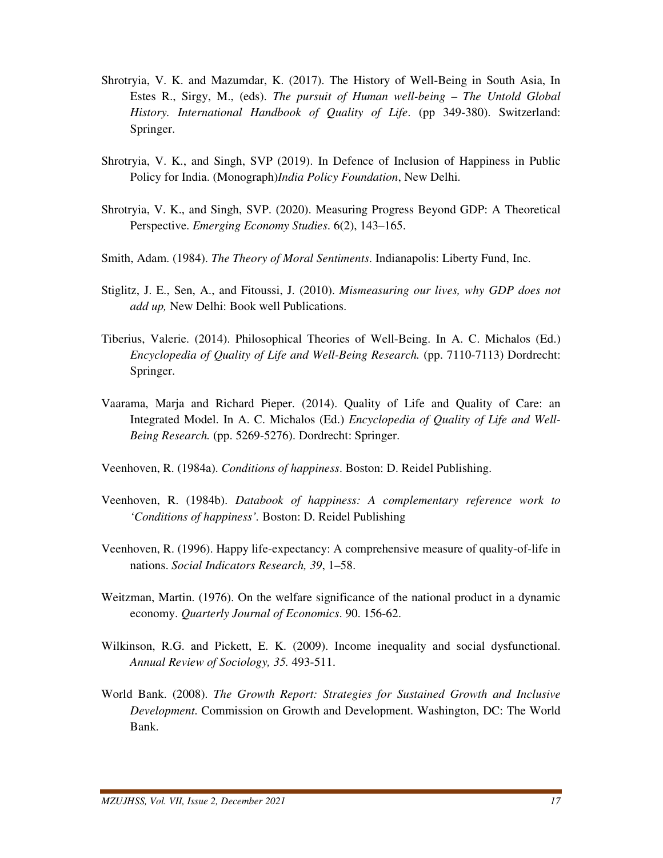- Shrotryia, V. K. and Mazumdar, K. (2017). The History of Well-Being in South Asia, In Estes R., Sirgy, M., (eds). *The pursuit of Human well-being – The Untold Global History. International Handbook of Quality of Life*. (pp 349-380). Switzerland: Springer.
- Shrotryia, V. K., and Singh, SVP (2019). In Defence of Inclusion of Happiness in Public Policy for India. (Monograph)*India Policy Foundation*, New Delhi.
- Shrotryia, V. K., and Singh, SVP. (2020). Measuring Progress Beyond GDP: A Theoretical Perspective. *Emerging Economy Studies*. 6(2), 143–165.
- Smith, Adam. (1984). *The Theory of Moral Sentiments*. Indianapolis: Liberty Fund, Inc.
- Stiglitz, J. E., Sen, A., and Fitoussi, J. (2010). *Mismeasuring our lives, why GDP does not add up,* New Delhi: Book well Publications.
- Tiberius, Valerie. (2014). Philosophical Theories of Well-Being. In A. C. Michalos (Ed.) *Encyclopedia of Quality of Life and Well-Being Research.* (pp. 7110-7113) Dordrecht: Springer.
- Vaarama, Marja and Richard Pieper. (2014). Quality of Life and Quality of Care: an Integrated Model. In A. C. Michalos (Ed.) *Encyclopedia of Quality of Life and Well-Being Research.* (pp. 5269-5276). Dordrecht: Springer.
- Veenhoven, R. (1984a). *Conditions of happiness*. Boston: D. Reidel Publishing.
- Veenhoven, R. (1984b). *Databook of happiness: A complementary reference work to 'Conditions of happiness'.* Boston: D. Reidel Publishing
- Veenhoven, R. (1996). Happy life-expectancy: A comprehensive measure of quality-of-life in nations. *Social Indicators Research, 39*, 1–58.
- Weitzman, Martin. (1976). On the welfare significance of the national product in a dynamic economy. *Quarterly Journal of Economics*. 90. 156-62.
- Wilkinson, R.G. and Pickett, E. K. (2009). Income inequality and social dysfunctional. *Annual Review of Sociology, 35.* 493-511.
- World Bank. (2008). *The Growth Report: Strategies for Sustained Growth and Inclusive Development*. Commission on Growth and Development. Washington, DC: The World Bank.